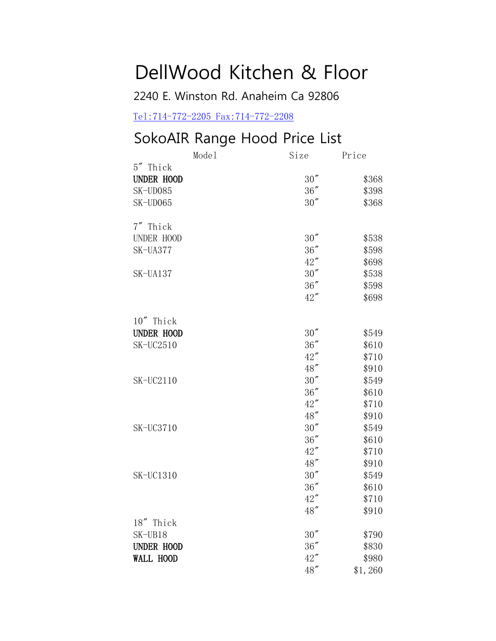## DellWood Kitchen & Floor

2240 E. Winston Rd. Anaheim Ca 92806

<Tel:714-772-2205 Fax:714-772-2208>

## SokoAIR Range Hood Price List

|                   | Model | Size   | Price   |
|-------------------|-------|--------|---------|
| 5" Thick          |       |        |         |
| <b>UNDER HOOD</b> |       | 30''   | \$368   |
| SK-UD085          |       | 36''   | \$398   |
| SK-UD065          |       | 30''   | \$368   |
|                   |       |        |         |
| 7" Thick          |       |        |         |
| UNDER HOOD        |       | 30''   | \$538   |
| SK-UA377          |       | 36''   | \$598   |
|                   |       | 42''   | \$698   |
| SK-UA137          |       | 30''   | \$538   |
|                   |       | $36''$ | \$598   |
|                   |       | 42''   | \$698   |
|                   |       |        |         |
| 10" Thick         |       |        |         |
| <b>UNDER HOOD</b> |       | 30''   | \$549   |
| SK-UC2510         |       | 36''   | \$610   |
|                   |       | 42''   | \$710   |
|                   |       | 48"    | \$910   |
| SK-UC2110         |       | 30''   | \$549   |
|                   |       | $36''$ | \$610   |
|                   |       | 42''   | \$710   |
|                   |       | 48"    | \$910   |
| <b>SK-UC3710</b>  |       | 30''   | \$549   |
|                   |       | 36''   | \$610   |
|                   |       | 42''   | \$710   |
|                   |       | 48"    | \$910   |
| SK-UC1310         |       | 30''   | \$549   |
|                   |       | 36''   | \$610   |
|                   |       | 42''   | \$710   |
|                   |       | 48"    | \$910   |
| 18" Thick         |       |        |         |
| SK-UB18           |       | 30''   | \$790   |
| <b>UNDER HOOD</b> |       | 36''   | \$830   |
| <b>WALL HOOD</b>  |       | 42''   | \$980   |
|                   |       | 48"    | \$1,260 |